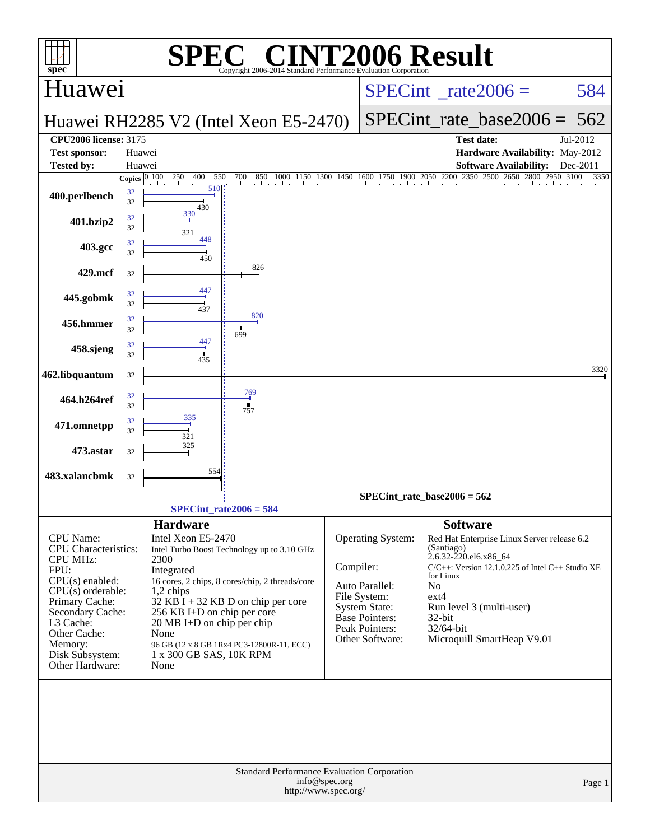| $spec^*$                                                                                                                                                                                                                            |                          |                                                                                                                                                                                              | $\lceil$ ' $\mathbb{R}$ $\lceil$ ' $\rceil$<br>Copyright 2006-2014 Standard Performance Evaluation Corporation                                                                      |                                 | <b>INT2006 Result</b>                                                                                                                     |                                                                                                                 |                                                                                                                                                                |              |
|-------------------------------------------------------------------------------------------------------------------------------------------------------------------------------------------------------------------------------------|--------------------------|----------------------------------------------------------------------------------------------------------------------------------------------------------------------------------------------|-------------------------------------------------------------------------------------------------------------------------------------------------------------------------------------|---------------------------------|-------------------------------------------------------------------------------------------------------------------------------------------|-----------------------------------------------------------------------------------------------------------------|----------------------------------------------------------------------------------------------------------------------------------------------------------------|--------------|
| Huawei                                                                                                                                                                                                                              |                          |                                                                                                                                                                                              |                                                                                                                                                                                     | $SPECint^{\circ}$ rate $2006 =$ |                                                                                                                                           |                                                                                                                 | 584                                                                                                                                                            |              |
|                                                                                                                                                                                                                                     |                          |                                                                                                                                                                                              | Huawei RH2285 V2 (Intel Xeon E5-2470)                                                                                                                                               |                                 |                                                                                                                                           | SPECint rate base $2006 = 562$                                                                                  |                                                                                                                                                                |              |
| <b>CPU2006 license: 3175</b>                                                                                                                                                                                                        |                          |                                                                                                                                                                                              |                                                                                                                                                                                     |                                 |                                                                                                                                           |                                                                                                                 | <b>Test date:</b>                                                                                                                                              | Jul-2012     |
| <b>Test sponsor:</b><br><b>Tested by:</b>                                                                                                                                                                                           | Huawei<br>Huawei         |                                                                                                                                                                                              |                                                                                                                                                                                     |                                 |                                                                                                                                           |                                                                                                                 | Hardware Availability: May-2012<br><b>Software Availability:</b>                                                                                               | Dec-2011     |
|                                                                                                                                                                                                                                     | Copies $\overline{0100}$ | 250<br>550<br>400                                                                                                                                                                            | 700<br>850<br>1000<br>1150                                                                                                                                                          | 1300                            |                                                                                                                                           |                                                                                                                 | 1450 1600 1750 1900 2050 2200 2350 2500 2650 2800 2950                                                                                                         | 3100<br>3350 |
| 400.perlbench                                                                                                                                                                                                                       | 32<br>32                 | 510<br>430                                                                                                                                                                                   |                                                                                                                                                                                     |                                 |                                                                                                                                           |                                                                                                                 |                                                                                                                                                                |              |
| 401.bzip2                                                                                                                                                                                                                           | 32<br>32                 | 330<br>321                                                                                                                                                                                   |                                                                                                                                                                                     |                                 |                                                                                                                                           |                                                                                                                 |                                                                                                                                                                |              |
| 403.gcc                                                                                                                                                                                                                             | 32<br>32                 | 448<br>450                                                                                                                                                                                   |                                                                                                                                                                                     |                                 |                                                                                                                                           |                                                                                                                 |                                                                                                                                                                |              |
| 429.mcf                                                                                                                                                                                                                             | 32                       |                                                                                                                                                                                              | 826                                                                                                                                                                                 |                                 |                                                                                                                                           |                                                                                                                 |                                                                                                                                                                |              |
| 445.gobmk                                                                                                                                                                                                                           | 32<br>32                 | 447<br>437                                                                                                                                                                                   |                                                                                                                                                                                     |                                 |                                                                                                                                           |                                                                                                                 |                                                                                                                                                                |              |
| 456.hmmer                                                                                                                                                                                                                           | 32<br>32                 |                                                                                                                                                                                              | 820                                                                                                                                                                                 |                                 |                                                                                                                                           |                                                                                                                 |                                                                                                                                                                |              |
| 458.sjeng                                                                                                                                                                                                                           | 32<br>32                 | 447                                                                                                                                                                                          | 699                                                                                                                                                                                 |                                 |                                                                                                                                           |                                                                                                                 |                                                                                                                                                                |              |
| 462.libquantum                                                                                                                                                                                                                      | 32                       | 435                                                                                                                                                                                          |                                                                                                                                                                                     |                                 |                                                                                                                                           |                                                                                                                 |                                                                                                                                                                | 3320         |
| 464.h264ref                                                                                                                                                                                                                         | 32<br>32                 |                                                                                                                                                                                              | 769                                                                                                                                                                                 |                                 |                                                                                                                                           |                                                                                                                 |                                                                                                                                                                |              |
| 471.omnetpp                                                                                                                                                                                                                         | 32<br>32                 | 335<br>321                                                                                                                                                                                   | 757                                                                                                                                                                                 |                                 |                                                                                                                                           |                                                                                                                 |                                                                                                                                                                |              |
| 473.astar                                                                                                                                                                                                                           | 32                       | 325                                                                                                                                                                                          |                                                                                                                                                                                     |                                 |                                                                                                                                           |                                                                                                                 |                                                                                                                                                                |              |
| 483.xalancbmk                                                                                                                                                                                                                       | 32                       | 554                                                                                                                                                                                          |                                                                                                                                                                                     |                                 |                                                                                                                                           |                                                                                                                 |                                                                                                                                                                |              |
|                                                                                                                                                                                                                                     |                          |                                                                                                                                                                                              |                                                                                                                                                                                     |                                 | SPECint rate base2006 = $562$                                                                                                             |                                                                                                                 |                                                                                                                                                                |              |
|                                                                                                                                                                                                                                     |                          |                                                                                                                                                                                              | $SPECint_rate2006 = 584$                                                                                                                                                            |                                 |                                                                                                                                           |                                                                                                                 |                                                                                                                                                                |              |
| CPU Name:<br><b>CPU</b> Characteristics:<br><b>CPU MHz:</b><br>FPU:<br>$CPU(s)$ enabled:<br>$CPU(s)$ orderable:<br>Primary Cache:<br>Secondary Cache:<br>L3 Cache:<br>Other Cache:<br>Memory:<br>Disk Subsystem:<br>Other Hardware: |                          | <b>Hardware</b><br>Intel Xeon E5-2470<br>2300<br>Integrated<br>$1,2$ chips<br>256 KB I+D on chip per core<br>$20 \text{ MB I+D}$ on chip per chip<br>None<br>1 x 300 GB SAS, 10K RPM<br>None | Intel Turbo Boost Technology up to 3.10 GHz<br>16 cores, 2 chips, 8 cores/chip, 2 threads/core<br>$32$ KB I + 32 KB D on chip per core<br>96 GB (12 x 8 GB 1Rx4 PC3-12800R-11, ECC) | Compiler:                       | Operating System:<br>Auto Parallel:<br>File System:<br><b>System State:</b><br><b>Base Pointers:</b><br>Peak Pointers:<br>Other Software: | <b>Software</b><br>(Santiago)<br>2.6.32-220.el6.x86_64<br>for Linux<br>No<br>$ext{4}$<br>$32$ -bit<br>32/64-bit | Red Hat Enterprise Linux Server release 6.2<br>$C/C++$ : Version 12.1.0.225 of Intel $C++$ Studio XE<br>Run level 3 (multi-user)<br>Microquill SmartHeap V9.01 |              |
|                                                                                                                                                                                                                                     |                          |                                                                                                                                                                                              | Standard Performance Evaluation Corporation                                                                                                                                         |                                 |                                                                                                                                           |                                                                                                                 |                                                                                                                                                                |              |
|                                                                                                                                                                                                                                     |                          |                                                                                                                                                                                              | http://www.spec.org/                                                                                                                                                                | info@spec.org                   |                                                                                                                                           |                                                                                                                 |                                                                                                                                                                | Page 1       |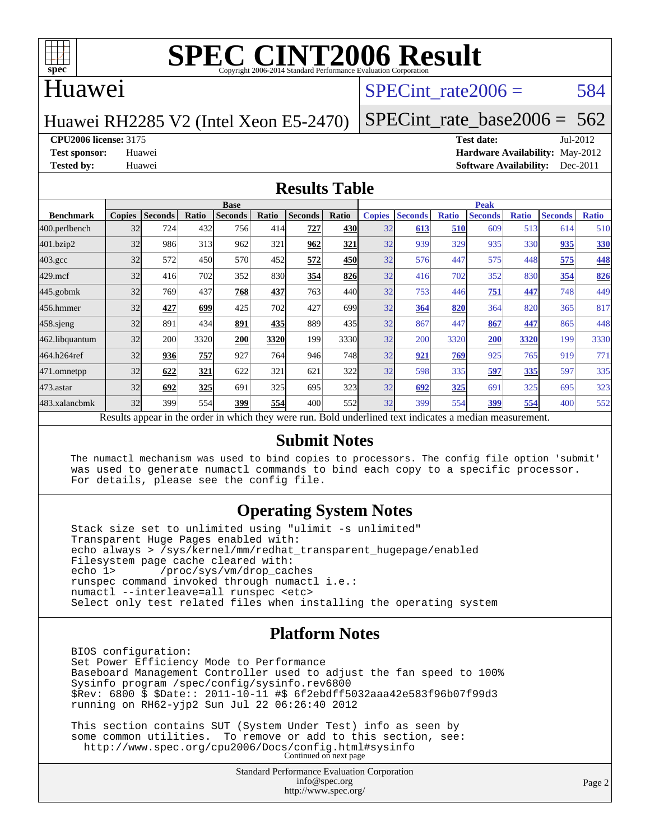

#### Huawei

#### SPECint rate $2006 = 584$

Huawei RH2285 V2 (Intel Xeon E5-2470)

[SPECint\\_rate\\_base2006 =](http://www.spec.org/auto/cpu2006/Docs/result-fields.html#SPECintratebase2006)  $562$ 

**[CPU2006 license:](http://www.spec.org/auto/cpu2006/Docs/result-fields.html#CPU2006license)** 3175 **[Test date:](http://www.spec.org/auto/cpu2006/Docs/result-fields.html#Testdate)** Jul-2012

**[Test sponsor:](http://www.spec.org/auto/cpu2006/Docs/result-fields.html#Testsponsor)** Huawei **[Hardware Availability:](http://www.spec.org/auto/cpu2006/Docs/result-fields.html#HardwareAvailability)** May-2012 **[Tested by:](http://www.spec.org/auto/cpu2006/Docs/result-fields.html#Testedby)** Huawei **[Software Availability:](http://www.spec.org/auto/cpu2006/Docs/result-fields.html#SoftwareAvailability)** Dec-2011

#### **[Results Table](http://www.spec.org/auto/cpu2006/Docs/result-fields.html#ResultsTable)**

|                                                                                                          | <b>Base</b>   |                |       |                |       |                |       | <b>Peak</b>   |                |              |                |              |                |              |  |
|----------------------------------------------------------------------------------------------------------|---------------|----------------|-------|----------------|-------|----------------|-------|---------------|----------------|--------------|----------------|--------------|----------------|--------------|--|
| <b>Benchmark</b>                                                                                         | <b>Copies</b> | <b>Seconds</b> | Ratio | <b>Seconds</b> | Ratio | <b>Seconds</b> | Ratio | <b>Copies</b> | <b>Seconds</b> | <b>Ratio</b> | <b>Seconds</b> | <b>Ratio</b> | <b>Seconds</b> | <b>Ratio</b> |  |
| 400.perlbench                                                                                            | 32            | 724            | 432   | 756            | 414   | 727            | 430   | 32            | 613            | 510          | 609            | 513          | 614            | 510          |  |
| 401.bzip2                                                                                                | 32            | 986            | 313   | 962            | 321   | 962            | 321   | 32            | 939            | 329          | 935            | 330          | 935            | <b>330</b>   |  |
| $403.\mathrm{gcc}$                                                                                       | 32            | 572            | 450   | 570            | 452   | 572            | 450   | 32            | 576            | 447          | 575            | 448          | 575            | 448          |  |
| $429$ .mcf                                                                                               | 32            | 416            | 702   | 352            | 830   | 354            | 826   | 32            | 416            | 702          | 352            | 830          | 354            | 826          |  |
| $445$ .gobm $k$                                                                                          | 32            | 769            | 437   | 768            | 437   | 763            | 440   | 32            | 753            | 446          | 751            | 447          | 748            | 449          |  |
| 456.hmmer                                                                                                | 32            | 427            | 699   | 425            | 702   | 427            | 699   | 32            | 364            | 820          | 364            | 820          | 365            | 817          |  |
| $458$ .sjeng                                                                                             | 32            | 891            | 434   | 891            | 435   | 889            | 435   | 32            | 867            | 447          | 867            | 447          | 865            | 448          |  |
| 462.libquantum                                                                                           | 32            | 200            | 3320  | 200            | 3320  | 199            | 3330  | 32            | 200            | 3320         | 200            | 3320         | 199            | 3330         |  |
| 464.h264ref                                                                                              | 32            | 936            | 757   | 927            | 764   | 946            | 748   | 32            | 921            | 769          | 925            | 765          | 919            | 771          |  |
| 471.omnetpp                                                                                              | 32            | 622            | 321   | 622            | 321   | 621            | 322   | 32            | 598            | 335          | 597            | 335          | 597            | 335          |  |
| $473$ . astar                                                                                            | 32            | 692            | 325   | 691            | 325   | 695            | 323   | 32            | 692            | 325          | 691            | 325          | 695            | 323          |  |
| 483.xalancbmk                                                                                            | 32            | 399            | 554   | 399            | 554   | 400            | 552   | 32            | 399            | 554          | 399            | 554          | 400            | 552          |  |
| Results appear in the order in which they were run. Bold underlined text indicates a median measurement. |               |                |       |                |       |                |       |               |                |              |                |              |                |              |  |

#### **[Submit Notes](http://www.spec.org/auto/cpu2006/Docs/result-fields.html#SubmitNotes)**

 The numactl mechanism was used to bind copies to processors. The config file option 'submit' was used to generate numactl commands to bind each copy to a specific processor. For details, please see the config file.

#### **[Operating System Notes](http://www.spec.org/auto/cpu2006/Docs/result-fields.html#OperatingSystemNotes)**

 Stack size set to unlimited using "ulimit -s unlimited" Transparent Huge Pages enabled with: echo always > /sys/kernel/mm/redhat\_transparent\_hugepage/enabled Filesystem page cache cleared with:<br>echo 1> /proc/sys/vm/drop cac /proc/sys/vm/drop\_caches runspec command invoked through numactl i.e.: numactl --interleave=all runspec <etc> Select only test related files when installing the operating system

#### **[Platform Notes](http://www.spec.org/auto/cpu2006/Docs/result-fields.html#PlatformNotes)**

 BIOS configuration: Set Power Efficiency Mode to Performance Baseboard Management Controller used to adjust the fan speed to 100% Sysinfo program /spec/config/sysinfo.rev6800 \$Rev: 6800 \$ \$Date:: 2011-10-11 #\$ 6f2ebdff5032aaa42e583f96b07f99d3 running on RH62-yjp2 Sun Jul 22 06:26:40 2012

 This section contains SUT (System Under Test) info as seen by some common utilities. To remove or add to this section, see: <http://www.spec.org/cpu2006/Docs/config.html#sysinfo> Continued on next page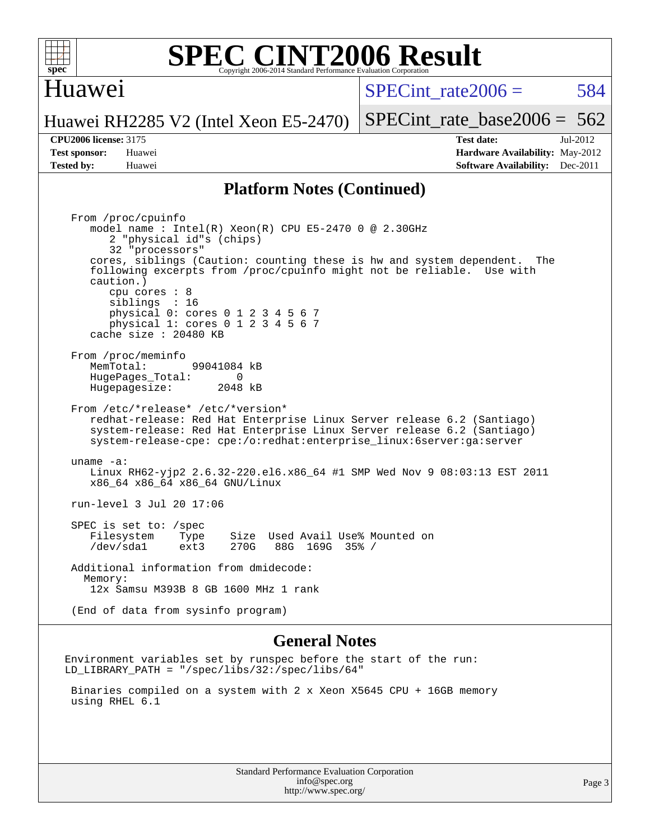

#### Huawei

 $SPECint rate2006 = 584$ 

[SPECint\\_rate\\_base2006 =](http://www.spec.org/auto/cpu2006/Docs/result-fields.html#SPECintratebase2006)  $562$ 

Huawei RH2285 V2 (Intel Xeon E5-2470)

**[Tested by:](http://www.spec.org/auto/cpu2006/Docs/result-fields.html#Testedby)** Huawei **[Software Availability:](http://www.spec.org/auto/cpu2006/Docs/result-fields.html#SoftwareAvailability)** Dec-2011

**[CPU2006 license:](http://www.spec.org/auto/cpu2006/Docs/result-fields.html#CPU2006license)** 3175 **[Test date:](http://www.spec.org/auto/cpu2006/Docs/result-fields.html#Testdate)** Jul-2012 **[Test sponsor:](http://www.spec.org/auto/cpu2006/Docs/result-fields.html#Testsponsor)** Huawei **[Hardware Availability:](http://www.spec.org/auto/cpu2006/Docs/result-fields.html#HardwareAvailability)** May-2012

#### **[Platform Notes \(Continued\)](http://www.spec.org/auto/cpu2006/Docs/result-fields.html#PlatformNotes)**

 From /proc/cpuinfo model name : Intel(R) Xeon(R) CPU E5-2470 0 @ 2.30GHz 2 "physical id"s (chips) 32 "processors" cores, siblings (Caution: counting these is hw and system dependent. The following excerpts from /proc/cpuinfo might not be reliable. Use with caution.) cpu cores : 8 siblings : 16 physical 0: cores 0 1 2 3 4 5 6 7 physical 1: cores 0 1 2 3 4 5 6 7 cache size : 20480 KB From /proc/meminfo MemTotal: 99041084 kB<br>HugePages Total: 0 HugePages\_Total: 0 Hugepagesize: 2048 kB From /etc/\*release\* /etc/\*version\* redhat-release: Red Hat Enterprise Linux Server release 6.2 (Santiago) system-release: Red Hat Enterprise Linux Server release 6.2 (Santiago) system-release-cpe: cpe:/o:redhat:enterprise\_linux:6server:ga:server uname -a: Linux RH62-yjp2 2.6.32-220.el6.x86\_64 #1 SMP Wed Nov 9 08:03:13 EST 2011 x86\_64 x86\_64 x86\_64 GNU/Linux run-level 3 Jul 20 17:06 SPEC is set to: /spec Filesystem Type Size Used Avail Use% Mounted on<br>
/dev/sdal ext3 270G 88G 169G 35% / /dev/sda1 ext3 270G 88G 169G 35% / Additional information from dmidecode: Memory: 12x Samsu M393B 8 GB 1600 MHz 1 rank (End of data from sysinfo program)

#### **[General Notes](http://www.spec.org/auto/cpu2006/Docs/result-fields.html#GeneralNotes)**

Environment variables set by runspec before the start of the run: LD\_LIBRARY\_PATH = "/spec/libs/32:/spec/libs/64"

 Binaries compiled on a system with 2 x Xeon X5645 CPU + 16GB memory using RHEL 6.1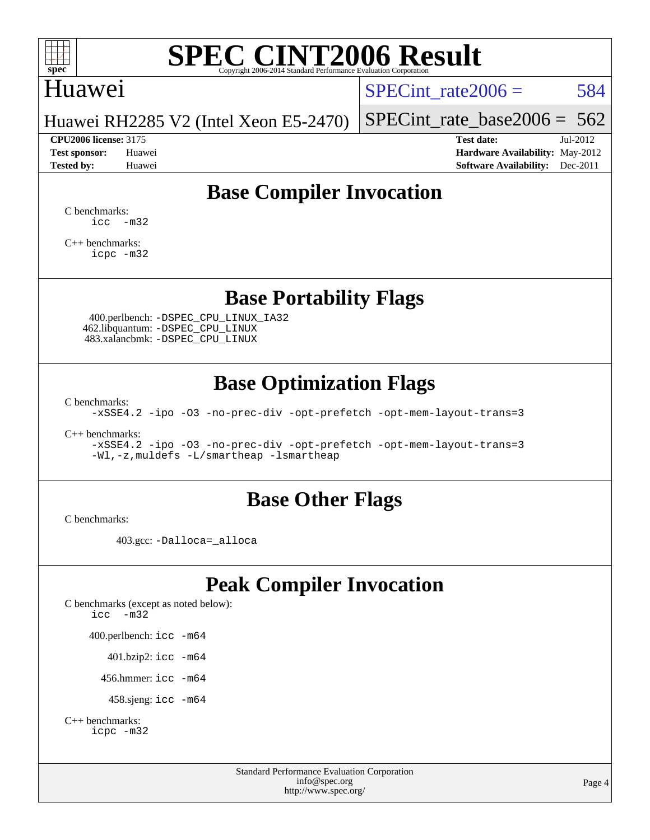

#### Huawei

SPECint rate $2006 = 584$ 

Huawei RH2285 V2 (Intel Xeon E5-2470)

**[CPU2006 license:](http://www.spec.org/auto/cpu2006/Docs/result-fields.html#CPU2006license)** 3175 **[Test date:](http://www.spec.org/auto/cpu2006/Docs/result-fields.html#Testdate)** Jul-2012

[SPECint\\_rate\\_base2006 =](http://www.spec.org/auto/cpu2006/Docs/result-fields.html#SPECintratebase2006)  $562$ 

**[Test sponsor:](http://www.spec.org/auto/cpu2006/Docs/result-fields.html#Testsponsor)** Huawei **[Hardware Availability:](http://www.spec.org/auto/cpu2006/Docs/result-fields.html#HardwareAvailability)** May-2012 **[Tested by:](http://www.spec.org/auto/cpu2006/Docs/result-fields.html#Testedby)** Huawei **[Software Availability:](http://www.spec.org/auto/cpu2006/Docs/result-fields.html#SoftwareAvailability)** Dec-2011

### **[Base Compiler Invocation](http://www.spec.org/auto/cpu2006/Docs/result-fields.html#BaseCompilerInvocation)**

[C benchmarks](http://www.spec.org/auto/cpu2006/Docs/result-fields.html#Cbenchmarks):  $\text{icc}$   $-\text{m32}$ 

[C++ benchmarks:](http://www.spec.org/auto/cpu2006/Docs/result-fields.html#CXXbenchmarks) [icpc -m32](http://www.spec.org/cpu2006/results/res2012q3/cpu2006-20120725-23868.flags.html#user_CXXbase_intel_icpc_4e5a5ef1a53fd332b3c49e69c3330699)

**[Base Portability Flags](http://www.spec.org/auto/cpu2006/Docs/result-fields.html#BasePortabilityFlags)**

 400.perlbench: [-DSPEC\\_CPU\\_LINUX\\_IA32](http://www.spec.org/cpu2006/results/res2012q3/cpu2006-20120725-23868.flags.html#b400.perlbench_baseCPORTABILITY_DSPEC_CPU_LINUX_IA32) 462.libquantum: [-DSPEC\\_CPU\\_LINUX](http://www.spec.org/cpu2006/results/res2012q3/cpu2006-20120725-23868.flags.html#b462.libquantum_baseCPORTABILITY_DSPEC_CPU_LINUX) 483.xalancbmk: [-DSPEC\\_CPU\\_LINUX](http://www.spec.org/cpu2006/results/res2012q3/cpu2006-20120725-23868.flags.html#b483.xalancbmk_baseCXXPORTABILITY_DSPEC_CPU_LINUX)

### **[Base Optimization Flags](http://www.spec.org/auto/cpu2006/Docs/result-fields.html#BaseOptimizationFlags)**

[C benchmarks](http://www.spec.org/auto/cpu2006/Docs/result-fields.html#Cbenchmarks):

[-xSSE4.2](http://www.spec.org/cpu2006/results/res2012q3/cpu2006-20120725-23868.flags.html#user_CCbase_f-xSSE42_f91528193cf0b216347adb8b939d4107) [-ipo](http://www.spec.org/cpu2006/results/res2012q3/cpu2006-20120725-23868.flags.html#user_CCbase_f-ipo) [-O3](http://www.spec.org/cpu2006/results/res2012q3/cpu2006-20120725-23868.flags.html#user_CCbase_f-O3) [-no-prec-div](http://www.spec.org/cpu2006/results/res2012q3/cpu2006-20120725-23868.flags.html#user_CCbase_f-no-prec-div) [-opt-prefetch](http://www.spec.org/cpu2006/results/res2012q3/cpu2006-20120725-23868.flags.html#user_CCbase_f-opt-prefetch) [-opt-mem-layout-trans=3](http://www.spec.org/cpu2006/results/res2012q3/cpu2006-20120725-23868.flags.html#user_CCbase_f-opt-mem-layout-trans_a7b82ad4bd7abf52556d4961a2ae94d5)

[C++ benchmarks:](http://www.spec.org/auto/cpu2006/Docs/result-fields.html#CXXbenchmarks)

[-xSSE4.2](http://www.spec.org/cpu2006/results/res2012q3/cpu2006-20120725-23868.flags.html#user_CXXbase_f-xSSE42_f91528193cf0b216347adb8b939d4107) [-ipo](http://www.spec.org/cpu2006/results/res2012q3/cpu2006-20120725-23868.flags.html#user_CXXbase_f-ipo) [-O3](http://www.spec.org/cpu2006/results/res2012q3/cpu2006-20120725-23868.flags.html#user_CXXbase_f-O3) [-no-prec-div](http://www.spec.org/cpu2006/results/res2012q3/cpu2006-20120725-23868.flags.html#user_CXXbase_f-no-prec-div) [-opt-prefetch](http://www.spec.org/cpu2006/results/res2012q3/cpu2006-20120725-23868.flags.html#user_CXXbase_f-opt-prefetch) [-opt-mem-layout-trans=3](http://www.spec.org/cpu2006/results/res2012q3/cpu2006-20120725-23868.flags.html#user_CXXbase_f-opt-mem-layout-trans_a7b82ad4bd7abf52556d4961a2ae94d5) [-Wl,-z,muldefs](http://www.spec.org/cpu2006/results/res2012q3/cpu2006-20120725-23868.flags.html#user_CXXbase_link_force_multiple1_74079c344b956b9658436fd1b6dd3a8a) [-L/smartheap -lsmartheap](http://www.spec.org/cpu2006/results/res2012q3/cpu2006-20120725-23868.flags.html#user_CXXbase_SmartHeap_7c9e394a5779e1a7fec7c221e123830c)

#### **[Base Other Flags](http://www.spec.org/auto/cpu2006/Docs/result-fields.html#BaseOtherFlags)**

[C benchmarks](http://www.spec.org/auto/cpu2006/Docs/result-fields.html#Cbenchmarks):

403.gcc: [-Dalloca=\\_alloca](http://www.spec.org/cpu2006/results/res2012q3/cpu2006-20120725-23868.flags.html#b403.gcc_baseEXTRA_CFLAGS_Dalloca_be3056838c12de2578596ca5467af7f3)

### **[Peak Compiler Invocation](http://www.spec.org/auto/cpu2006/Docs/result-fields.html#PeakCompilerInvocation)**

[C benchmarks \(except as noted below\)](http://www.spec.org/auto/cpu2006/Docs/result-fields.html#Cbenchmarksexceptasnotedbelow): [icc -m32](http://www.spec.org/cpu2006/results/res2012q3/cpu2006-20120725-23868.flags.html#user_CCpeak_intel_icc_5ff4a39e364c98233615fdd38438c6f2) 400.perlbench: [icc -m64](http://www.spec.org/cpu2006/results/res2012q3/cpu2006-20120725-23868.flags.html#user_peakCCLD400_perlbench_intel_icc_64bit_bda6cc9af1fdbb0edc3795bac97ada53) 401.bzip2: [icc -m64](http://www.spec.org/cpu2006/results/res2012q3/cpu2006-20120725-23868.flags.html#user_peakCCLD401_bzip2_intel_icc_64bit_bda6cc9af1fdbb0edc3795bac97ada53)

456.hmmer: [icc -m64](http://www.spec.org/cpu2006/results/res2012q3/cpu2006-20120725-23868.flags.html#user_peakCCLD456_hmmer_intel_icc_64bit_bda6cc9af1fdbb0edc3795bac97ada53)

458.sjeng: [icc -m64](http://www.spec.org/cpu2006/results/res2012q3/cpu2006-20120725-23868.flags.html#user_peakCCLD458_sjeng_intel_icc_64bit_bda6cc9af1fdbb0edc3795bac97ada53)

```
C++ benchmarks: 
    icpc -m32
```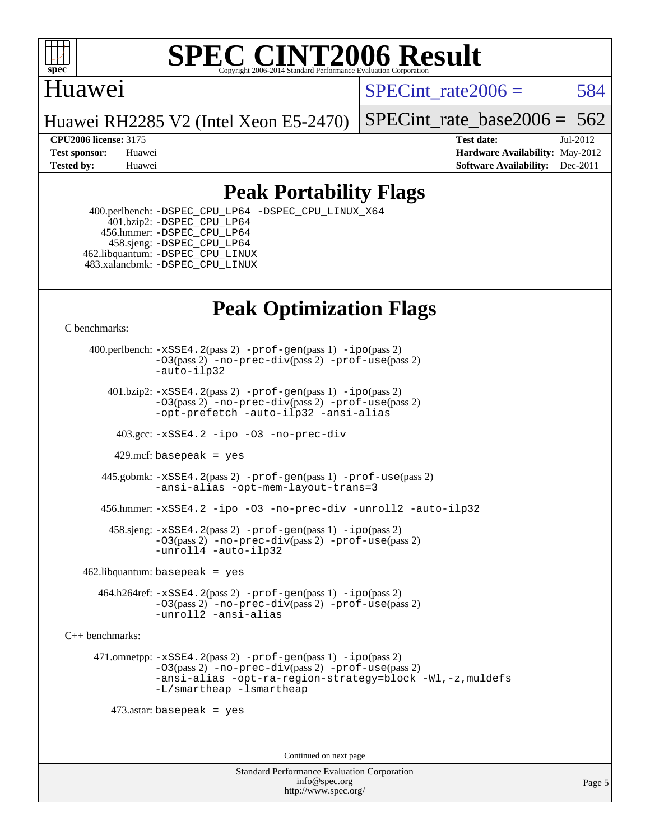

### Huawei

SPECint rate $2006 = 584$ 

Huawei RH2285 V2 (Intel Xeon E5-2470)

[SPECint\\_rate\\_base2006 =](http://www.spec.org/auto/cpu2006/Docs/result-fields.html#SPECintratebase2006)  $562$ 

**[CPU2006 license:](http://www.spec.org/auto/cpu2006/Docs/result-fields.html#CPU2006license)** 3175 **[Test date:](http://www.spec.org/auto/cpu2006/Docs/result-fields.html#Testdate)** Jul-2012 **[Test sponsor:](http://www.spec.org/auto/cpu2006/Docs/result-fields.html#Testsponsor)** Huawei **[Hardware Availability:](http://www.spec.org/auto/cpu2006/Docs/result-fields.html#HardwareAvailability)** May-2012 **[Tested by:](http://www.spec.org/auto/cpu2006/Docs/result-fields.html#Testedby)** Huawei **[Software Availability:](http://www.spec.org/auto/cpu2006/Docs/result-fields.html#SoftwareAvailability)** Dec-2011

### **[Peak Portability Flags](http://www.spec.org/auto/cpu2006/Docs/result-fields.html#PeakPortabilityFlags)**

 400.perlbench: [-DSPEC\\_CPU\\_LP64](http://www.spec.org/cpu2006/results/res2012q3/cpu2006-20120725-23868.flags.html#b400.perlbench_peakCPORTABILITY_DSPEC_CPU_LP64) [-DSPEC\\_CPU\\_LINUX\\_X64](http://www.spec.org/cpu2006/results/res2012q3/cpu2006-20120725-23868.flags.html#b400.perlbench_peakCPORTABILITY_DSPEC_CPU_LINUX_X64) 401.bzip2: [-DSPEC\\_CPU\\_LP64](http://www.spec.org/cpu2006/results/res2012q3/cpu2006-20120725-23868.flags.html#suite_peakCPORTABILITY401_bzip2_DSPEC_CPU_LP64) 456.hmmer: [-DSPEC\\_CPU\\_LP64](http://www.spec.org/cpu2006/results/res2012q3/cpu2006-20120725-23868.flags.html#suite_peakCPORTABILITY456_hmmer_DSPEC_CPU_LP64) 458.sjeng: [-DSPEC\\_CPU\\_LP64](http://www.spec.org/cpu2006/results/res2012q3/cpu2006-20120725-23868.flags.html#suite_peakCPORTABILITY458_sjeng_DSPEC_CPU_LP64) 462.libquantum: [-DSPEC\\_CPU\\_LINUX](http://www.spec.org/cpu2006/results/res2012q3/cpu2006-20120725-23868.flags.html#b462.libquantum_peakCPORTABILITY_DSPEC_CPU_LINUX) 483.xalancbmk: [-DSPEC\\_CPU\\_LINUX](http://www.spec.org/cpu2006/results/res2012q3/cpu2006-20120725-23868.flags.html#b483.xalancbmk_peakCXXPORTABILITY_DSPEC_CPU_LINUX)

## **[Peak Optimization Flags](http://www.spec.org/auto/cpu2006/Docs/result-fields.html#PeakOptimizationFlags)**

[C benchmarks](http://www.spec.org/auto/cpu2006/Docs/result-fields.html#Cbenchmarks):

 400.perlbench: [-xSSE4.2](http://www.spec.org/cpu2006/results/res2012q3/cpu2006-20120725-23868.flags.html#user_peakPASS2_CFLAGSPASS2_LDCFLAGS400_perlbench_f-xSSE42_f91528193cf0b216347adb8b939d4107)(pass 2) [-prof-gen](http://www.spec.org/cpu2006/results/res2012q3/cpu2006-20120725-23868.flags.html#user_peakPASS1_CFLAGSPASS1_LDCFLAGS400_perlbench_prof_gen_e43856698f6ca7b7e442dfd80e94a8fc)(pass 1) [-ipo](http://www.spec.org/cpu2006/results/res2012q3/cpu2006-20120725-23868.flags.html#user_peakPASS2_CFLAGSPASS2_LDCFLAGS400_perlbench_f-ipo)(pass 2) [-O3](http://www.spec.org/cpu2006/results/res2012q3/cpu2006-20120725-23868.flags.html#user_peakPASS2_CFLAGSPASS2_LDCFLAGS400_perlbench_f-O3)(pass 2) [-no-prec-div](http://www.spec.org/cpu2006/results/res2012q3/cpu2006-20120725-23868.flags.html#user_peakPASS2_CFLAGSPASS2_LDCFLAGS400_perlbench_f-no-prec-div)(pass 2) [-prof-use](http://www.spec.org/cpu2006/results/res2012q3/cpu2006-20120725-23868.flags.html#user_peakPASS2_CFLAGSPASS2_LDCFLAGS400_perlbench_prof_use_bccf7792157ff70d64e32fe3e1250b55)(pass 2) [-auto-ilp32](http://www.spec.org/cpu2006/results/res2012q3/cpu2006-20120725-23868.flags.html#user_peakCOPTIMIZE400_perlbench_f-auto-ilp32)  $401.bzip2: -xSSE4.2(pass 2) -prof-qen(pass 1) -ipo(pass 2)$  $401.bzip2: -xSSE4.2(pass 2) -prof-qen(pass 1) -ipo(pass 2)$  $401.bzip2: -xSSE4.2(pass 2) -prof-qen(pass 1) -ipo(pass 2)$  $401.bzip2: -xSSE4.2(pass 2) -prof-qen(pass 1) -ipo(pass 2)$  $401.bzip2: -xSSE4.2(pass 2) -prof-qen(pass 1) -ipo(pass 2)$ [-O3](http://www.spec.org/cpu2006/results/res2012q3/cpu2006-20120725-23868.flags.html#user_peakPASS2_CFLAGSPASS2_LDCFLAGS401_bzip2_f-O3)(pass 2) [-no-prec-div](http://www.spec.org/cpu2006/results/res2012q3/cpu2006-20120725-23868.flags.html#user_peakPASS2_CFLAGSPASS2_LDCFLAGS401_bzip2_f-no-prec-div)(pass 2) [-prof-use](http://www.spec.org/cpu2006/results/res2012q3/cpu2006-20120725-23868.flags.html#user_peakPASS2_CFLAGSPASS2_LDCFLAGS401_bzip2_prof_use_bccf7792157ff70d64e32fe3e1250b55)(pass 2) [-opt-prefetch](http://www.spec.org/cpu2006/results/res2012q3/cpu2006-20120725-23868.flags.html#user_peakCOPTIMIZE401_bzip2_f-opt-prefetch) [-auto-ilp32](http://www.spec.org/cpu2006/results/res2012q3/cpu2006-20120725-23868.flags.html#user_peakCOPTIMIZE401_bzip2_f-auto-ilp32) [-ansi-alias](http://www.spec.org/cpu2006/results/res2012q3/cpu2006-20120725-23868.flags.html#user_peakCOPTIMIZE401_bzip2_f-ansi-alias) 403.gcc: [-xSSE4.2](http://www.spec.org/cpu2006/results/res2012q3/cpu2006-20120725-23868.flags.html#user_peakCOPTIMIZE403_gcc_f-xSSE42_f91528193cf0b216347adb8b939d4107) [-ipo](http://www.spec.org/cpu2006/results/res2012q3/cpu2006-20120725-23868.flags.html#user_peakCOPTIMIZE403_gcc_f-ipo) [-O3](http://www.spec.org/cpu2006/results/res2012q3/cpu2006-20120725-23868.flags.html#user_peakCOPTIMIZE403_gcc_f-O3) [-no-prec-div](http://www.spec.org/cpu2006/results/res2012q3/cpu2006-20120725-23868.flags.html#user_peakCOPTIMIZE403_gcc_f-no-prec-div) 429.mcf: basepeak = yes 445.gobmk: [-xSSE4.2](http://www.spec.org/cpu2006/results/res2012q3/cpu2006-20120725-23868.flags.html#user_peakPASS2_CFLAGSPASS2_LDCFLAGS445_gobmk_f-xSSE42_f91528193cf0b216347adb8b939d4107)(pass 2) [-prof-gen](http://www.spec.org/cpu2006/results/res2012q3/cpu2006-20120725-23868.flags.html#user_peakPASS1_CFLAGSPASS1_LDCFLAGS445_gobmk_prof_gen_e43856698f6ca7b7e442dfd80e94a8fc)(pass 1) [-prof-use](http://www.spec.org/cpu2006/results/res2012q3/cpu2006-20120725-23868.flags.html#user_peakPASS2_CFLAGSPASS2_LDCFLAGS445_gobmk_prof_use_bccf7792157ff70d64e32fe3e1250b55)(pass 2) [-ansi-alias](http://www.spec.org/cpu2006/results/res2012q3/cpu2006-20120725-23868.flags.html#user_peakCOPTIMIZE445_gobmk_f-ansi-alias) [-opt-mem-layout-trans=3](http://www.spec.org/cpu2006/results/res2012q3/cpu2006-20120725-23868.flags.html#user_peakCOPTIMIZE445_gobmk_f-opt-mem-layout-trans_a7b82ad4bd7abf52556d4961a2ae94d5) 456.hmmer: [-xSSE4.2](http://www.spec.org/cpu2006/results/res2012q3/cpu2006-20120725-23868.flags.html#user_peakCOPTIMIZE456_hmmer_f-xSSE42_f91528193cf0b216347adb8b939d4107) [-ipo](http://www.spec.org/cpu2006/results/res2012q3/cpu2006-20120725-23868.flags.html#user_peakCOPTIMIZE456_hmmer_f-ipo) [-O3](http://www.spec.org/cpu2006/results/res2012q3/cpu2006-20120725-23868.flags.html#user_peakCOPTIMIZE456_hmmer_f-O3) [-no-prec-div](http://www.spec.org/cpu2006/results/res2012q3/cpu2006-20120725-23868.flags.html#user_peakCOPTIMIZE456_hmmer_f-no-prec-div) [-unroll2](http://www.spec.org/cpu2006/results/res2012q3/cpu2006-20120725-23868.flags.html#user_peakCOPTIMIZE456_hmmer_f-unroll_784dae83bebfb236979b41d2422d7ec2) [-auto-ilp32](http://www.spec.org/cpu2006/results/res2012q3/cpu2006-20120725-23868.flags.html#user_peakCOPTIMIZE456_hmmer_f-auto-ilp32) 458.sjeng: [-xSSE4.2](http://www.spec.org/cpu2006/results/res2012q3/cpu2006-20120725-23868.flags.html#user_peakPASS2_CFLAGSPASS2_LDCFLAGS458_sjeng_f-xSSE42_f91528193cf0b216347adb8b939d4107)(pass 2) [-prof-gen](http://www.spec.org/cpu2006/results/res2012q3/cpu2006-20120725-23868.flags.html#user_peakPASS1_CFLAGSPASS1_LDCFLAGS458_sjeng_prof_gen_e43856698f6ca7b7e442dfd80e94a8fc)(pass 1) [-ipo](http://www.spec.org/cpu2006/results/res2012q3/cpu2006-20120725-23868.flags.html#user_peakPASS2_CFLAGSPASS2_LDCFLAGS458_sjeng_f-ipo)(pass 2) [-O3](http://www.spec.org/cpu2006/results/res2012q3/cpu2006-20120725-23868.flags.html#user_peakPASS2_CFLAGSPASS2_LDCFLAGS458_sjeng_f-O3)(pass 2) [-no-prec-div](http://www.spec.org/cpu2006/results/res2012q3/cpu2006-20120725-23868.flags.html#user_peakPASS2_CFLAGSPASS2_LDCFLAGS458_sjeng_f-no-prec-div)(pass 2) [-prof-use](http://www.spec.org/cpu2006/results/res2012q3/cpu2006-20120725-23868.flags.html#user_peakPASS2_CFLAGSPASS2_LDCFLAGS458_sjeng_prof_use_bccf7792157ff70d64e32fe3e1250b55)(pass 2) [-unroll4](http://www.spec.org/cpu2006/results/res2012q3/cpu2006-20120725-23868.flags.html#user_peakCOPTIMIZE458_sjeng_f-unroll_4e5e4ed65b7fd20bdcd365bec371b81f) [-auto-ilp32](http://www.spec.org/cpu2006/results/res2012q3/cpu2006-20120725-23868.flags.html#user_peakCOPTIMIZE458_sjeng_f-auto-ilp32)  $462$ .libquantum: basepeak = yes 464.h264ref: [-xSSE4.2](http://www.spec.org/cpu2006/results/res2012q3/cpu2006-20120725-23868.flags.html#user_peakPASS2_CFLAGSPASS2_LDCFLAGS464_h264ref_f-xSSE42_f91528193cf0b216347adb8b939d4107)(pass 2) [-prof-gen](http://www.spec.org/cpu2006/results/res2012q3/cpu2006-20120725-23868.flags.html#user_peakPASS1_CFLAGSPASS1_LDCFLAGS464_h264ref_prof_gen_e43856698f6ca7b7e442dfd80e94a8fc)(pass 1) [-ipo](http://www.spec.org/cpu2006/results/res2012q3/cpu2006-20120725-23868.flags.html#user_peakPASS2_CFLAGSPASS2_LDCFLAGS464_h264ref_f-ipo)(pass 2) [-O3](http://www.spec.org/cpu2006/results/res2012q3/cpu2006-20120725-23868.flags.html#user_peakPASS2_CFLAGSPASS2_LDCFLAGS464_h264ref_f-O3)(pass 2) [-no-prec-div](http://www.spec.org/cpu2006/results/res2012q3/cpu2006-20120725-23868.flags.html#user_peakPASS2_CFLAGSPASS2_LDCFLAGS464_h264ref_f-no-prec-div)(pass 2) [-prof-use](http://www.spec.org/cpu2006/results/res2012q3/cpu2006-20120725-23868.flags.html#user_peakPASS2_CFLAGSPASS2_LDCFLAGS464_h264ref_prof_use_bccf7792157ff70d64e32fe3e1250b55)(pass 2) [-unroll2](http://www.spec.org/cpu2006/results/res2012q3/cpu2006-20120725-23868.flags.html#user_peakCOPTIMIZE464_h264ref_f-unroll_784dae83bebfb236979b41d2422d7ec2) [-ansi-alias](http://www.spec.org/cpu2006/results/res2012q3/cpu2006-20120725-23868.flags.html#user_peakCOPTIMIZE464_h264ref_f-ansi-alias) [C++ benchmarks:](http://www.spec.org/auto/cpu2006/Docs/result-fields.html#CXXbenchmarks) 471.omnetpp: [-xSSE4.2](http://www.spec.org/cpu2006/results/res2012q3/cpu2006-20120725-23868.flags.html#user_peakPASS2_CXXFLAGSPASS2_LDCXXFLAGS471_omnetpp_f-xSSE42_f91528193cf0b216347adb8b939d4107)(pass 2) [-prof-gen](http://www.spec.org/cpu2006/results/res2012q3/cpu2006-20120725-23868.flags.html#user_peakPASS1_CXXFLAGSPASS1_LDCXXFLAGS471_omnetpp_prof_gen_e43856698f6ca7b7e442dfd80e94a8fc)(pass 1) [-ipo](http://www.spec.org/cpu2006/results/res2012q3/cpu2006-20120725-23868.flags.html#user_peakPASS2_CXXFLAGSPASS2_LDCXXFLAGS471_omnetpp_f-ipo)(pass 2) [-O3](http://www.spec.org/cpu2006/results/res2012q3/cpu2006-20120725-23868.flags.html#user_peakPASS2_CXXFLAGSPASS2_LDCXXFLAGS471_omnetpp_f-O3)(pass 2) [-no-prec-div](http://www.spec.org/cpu2006/results/res2012q3/cpu2006-20120725-23868.flags.html#user_peakPASS2_CXXFLAGSPASS2_LDCXXFLAGS471_omnetpp_f-no-prec-div)(pass 2) [-prof-use](http://www.spec.org/cpu2006/results/res2012q3/cpu2006-20120725-23868.flags.html#user_peakPASS2_CXXFLAGSPASS2_LDCXXFLAGS471_omnetpp_prof_use_bccf7792157ff70d64e32fe3e1250b55)(pass 2) [-ansi-alias](http://www.spec.org/cpu2006/results/res2012q3/cpu2006-20120725-23868.flags.html#user_peakCXXOPTIMIZE471_omnetpp_f-ansi-alias) [-opt-ra-region-strategy=block](http://www.spec.org/cpu2006/results/res2012q3/cpu2006-20120725-23868.flags.html#user_peakCXXOPTIMIZE471_omnetpp_f-opt-ra-region-strategy_a0a37c372d03933b2a18d4af463c1f69) [-Wl,-z,muldefs](http://www.spec.org/cpu2006/results/res2012q3/cpu2006-20120725-23868.flags.html#user_peakEXTRA_LDFLAGS471_omnetpp_link_force_multiple1_74079c344b956b9658436fd1b6dd3a8a) [-L/smartheap -lsmartheap](http://www.spec.org/cpu2006/results/res2012q3/cpu2006-20120725-23868.flags.html#user_peakEXTRA_LIBS471_omnetpp_SmartHeap_7c9e394a5779e1a7fec7c221e123830c) 473.astar: basepeak = yes

Continued on next page